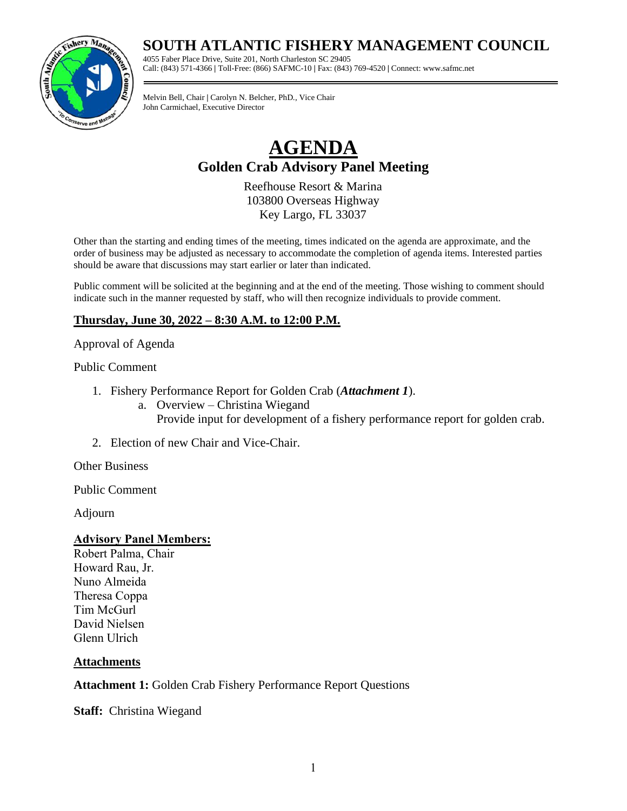## **SOUTH ATLANTIC FISHERY MANAGEMENT COUNCIL**

4055 Faber Place Drive, Suite 201, North Charleston SC 29405 Call: (843) 571-4366 **|** Toll-Free: (866) SAFMC-10 **|** Fax: (843) 769-4520 **|** Connect: www.safmc.net

Melvin Bell, Chair **|** Carolyn N. Belcher, PhD., Vice Chair John Carmichael, Executive Director

# **AGENDA Golden Crab Advisory Panel Meeting**

Reefhouse Resort & Marina 103800 Overseas Highway Key Largo, FL 33037

Other than the starting and ending times of the meeting, times indicated on the agenda are approximate, and the order of business may be adjusted as necessary to accommodate the completion of agenda items. Interested parties should be aware that discussions may start earlier or later than indicated.

Public comment will be solicited at the beginning and at the end of the meeting. Those wishing to comment should indicate such in the manner requested by staff, who will then recognize individuals to provide comment.

### **Thursday, June 30, 2022 – 8:30 A.M. to 12:00 P.M.**

#### Approval of Agenda

#### Public Comment

- 1. Fishery Performance Report for Golden Crab (*Attachment 1*).
	- a. Overview Christina Wiegand Provide input for development of a fishery performance report for golden crab.
- 2. Election of new Chair and Vice-Chair.

Other Business

Public Comment

Adjourn

#### **Advisory Panel Members:**

Robert Palma, Chair Howard Rau, Jr. Nuno Almeida Theresa Coppa Tim McGurl David Nielsen Glenn Ulrich

#### **Attachments**

#### **Attachment 1:** Golden Crab Fishery Performance Report Questions

**Staff:** Christina Wiegand